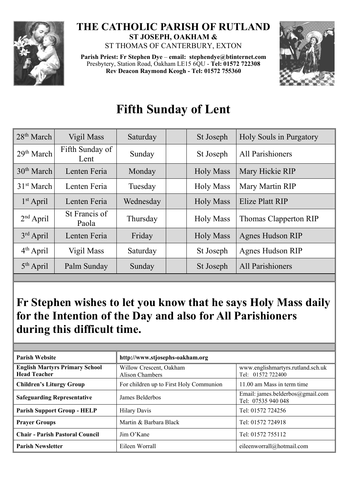

## **THE CATHOLIC PARISH OF RUTLAND ST JOSEPH, OAKHAM &**  ST THOMAS OF CANTERBURY, EXTON

**Parish Priest: Fr Stephen Dye** – **[email: stephendye@btinternet.com](mailto:email:%20%20stephendye@btinternet.com)** Presbytery, Station Road, Oakham LE15 6QU - **Tel: 01572 722308 Rev Deacon Raymond Keogh - Tel: 01572 755360**



## **Fifth Sunday of Lent**

| $28th$ March           | Vigil Mass              | Saturday  | St Joseph        | Holy Souls in Purgatory |
|------------------------|-------------------------|-----------|------------------|-------------------------|
| 29 <sup>th</sup> March | Fifth Sunday of<br>Lent | Sunday    | St Joseph        | All Parishioners        |
| 30 <sup>th</sup> March | Lenten Feria            | Monday    | <b>Holy Mass</b> | Mary Hickie RIP         |
| 31 <sup>st</sup> March | Lenten Feria            | Tuesday   | <b>Holy Mass</b> | Mary Martin RIP         |
| $1st$ April            | Lenten Feria            | Wednesday | <b>Holy Mass</b> | Elize Platt RIP         |
| $2nd$ April            | St Francis of<br>Paola  | Thursday  | <b>Holy Mass</b> | Thomas Clapperton RIP   |
| $3rd$ April            | Lenten Feria            | Friday    | <b>Holy Mass</b> | <b>Agnes Hudson RIP</b> |
| $4th$ April            | Vigil Mass              | Saturday  | St Joseph        | <b>Agnes Hudson RIP</b> |
| $5th$ April            | Palm Sunday             | Sunday    | St Joseph        | All Parishioners        |

## **Fr Stephen wishes to let you know that he says Holy Mass daily for the Intention of the Day and also for All Parishioners during this difficult time.**

| <b>Parish Website</b>                                        | http://www.stjosephs-oakham.org            |                                                        |  |  |
|--------------------------------------------------------------|--------------------------------------------|--------------------------------------------------------|--|--|
| <b>English Martyrs Primary School</b><br><b>Head Teacher</b> | Willow Crescent, Oakham<br>Alison Chambers | www.englishmartyrs.rutland.sch.uk<br>Tel: 01572 722400 |  |  |
| <b>Children's Liturgy Group</b>                              | For children up to First Holy Communion    | 11.00 am Mass in term time                             |  |  |
| <b>Safeguarding Representative</b>                           | James Belderbos                            | Email: james.belderbos@gmail.com<br>Tel: 07535 940 048 |  |  |
| <b>Parish Support Group - HELP</b>                           | <b>Hilary Davis</b>                        | Tel: 01572 724256                                      |  |  |
| <b>Prayer Groups</b>                                         | Martin & Barbara Black                     | Tel: 01572 724918                                      |  |  |
| <b>Chair - Parish Pastoral Council</b>                       | $\lim$ O'Kane                              | Tel: 01572 755112                                      |  |  |
| <b>Parish Newsletter</b>                                     | Eileen Worrall                             | eileenworrall@hotmail.com                              |  |  |